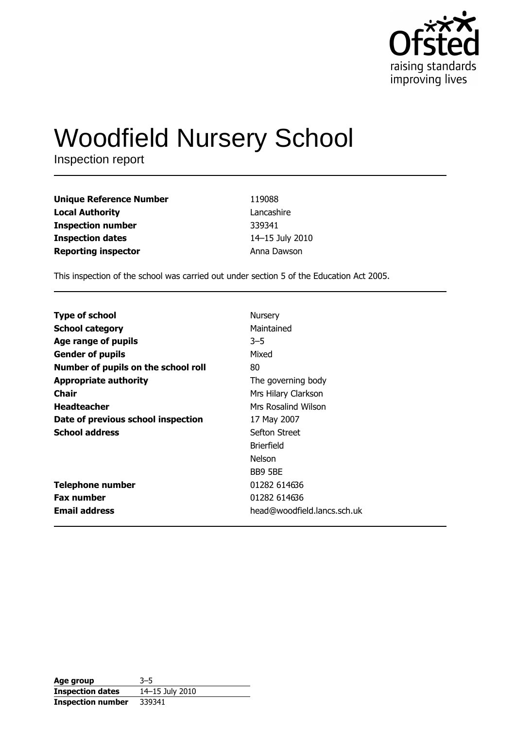

# **Woodfield Nursery School**

Inspection report

| <b>Unique Reference Number</b> | 119088          |
|--------------------------------|-----------------|
| <b>Local Authority</b>         | Lancashire      |
| <b>Inspection number</b>       | 339341          |
| <b>Inspection dates</b>        | 14-15 July 2010 |
| <b>Reporting inspector</b>     | Anna Dawson     |

This inspection of the school was carried out under section 5 of the Education Act 2005.

| <b>Type of school</b>               | Nursery                     |
|-------------------------------------|-----------------------------|
| <b>School category</b>              | Maintained                  |
| Age range of pupils                 | $3 - 5$                     |
| <b>Gender of pupils</b>             | Mixed                       |
| Number of pupils on the school roll | 80                          |
| <b>Appropriate authority</b>        | The governing body          |
| Chair                               | Mrs Hilary Clarkson         |
| <b>Headteacher</b>                  | Mrs Rosalind Wilson         |
| Date of previous school inspection  | 17 May 2007                 |
| <b>School address</b>               | Sefton Street               |
|                                     | <b>Brierfield</b>           |
|                                     | <b>Nelson</b>               |
|                                     | BB9 5BE                     |
| <b>Telephone number</b>             | 01282 614636                |
| <b>Fax number</b>                   | 01282 614636                |
| <b>Email address</b>                | head@woodfield.lancs.sch.uk |

| Age group                | $3 - 5$         |
|--------------------------|-----------------|
| <b>Inspection dates</b>  | 14-15 July 2010 |
| <b>Inspection number</b> | 339341          |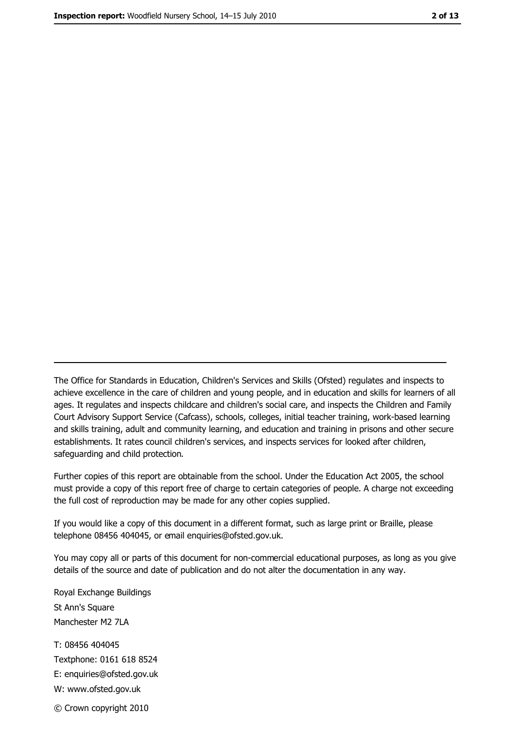The Office for Standards in Education, Children's Services and Skills (Ofsted) regulates and inspects to achieve excellence in the care of children and young people, and in education and skills for learners of all ages. It regulates and inspects childcare and children's social care, and inspects the Children and Family Court Advisory Support Service (Cafcass), schools, colleges, initial teacher training, work-based learning and skills training, adult and community learning, and education and training in prisons and other secure establishments. It rates council children's services, and inspects services for looked after children, safequarding and child protection.

Further copies of this report are obtainable from the school. Under the Education Act 2005, the school must provide a copy of this report free of charge to certain categories of people. A charge not exceeding the full cost of reproduction may be made for any other copies supplied.

If you would like a copy of this document in a different format, such as large print or Braille, please telephone 08456 404045, or email enquiries@ofsted.gov.uk.

You may copy all or parts of this document for non-commercial educational purposes, as long as you give details of the source and date of publication and do not alter the documentation in any way.

Royal Exchange Buildings St Ann's Square Manchester M2 7LA T: 08456 404045 Textphone: 0161 618 8524 E: enquiries@ofsted.gov.uk W: www.ofsted.gov.uk © Crown copyright 2010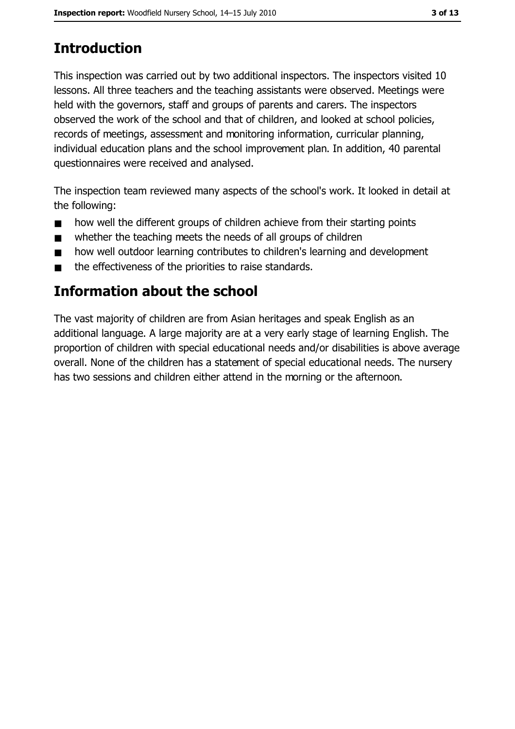# **Introduction**

This inspection was carried out by two additional inspectors. The inspectors visited 10 lessons. All three teachers and the teaching assistants were observed. Meetings were held with the governors, staff and groups of parents and carers. The inspectors observed the work of the school and that of children, and looked at school policies, records of meetings, assessment and monitoring information, curricular planning, individual education plans and the school improvement plan. In addition, 40 parental questionnaires were received and analysed.

The inspection team reviewed many aspects of the school's work. It looked in detail at the following:

- how well the different groups of children achieve from their starting points  $\blacksquare$
- whether the teaching meets the needs of all groups of children  $\blacksquare$
- how well outdoor learning contributes to children's learning and development  $\blacksquare$
- the effectiveness of the priorities to raise standards.  $\blacksquare$

# Information about the school

The vast majority of children are from Asian heritages and speak English as an additional language. A large majority are at a very early stage of learning English. The proportion of children with special educational needs and/or disabilities is above average overall. None of the children has a statement of special educational needs. The nursery has two sessions and children either attend in the morning or the afternoon.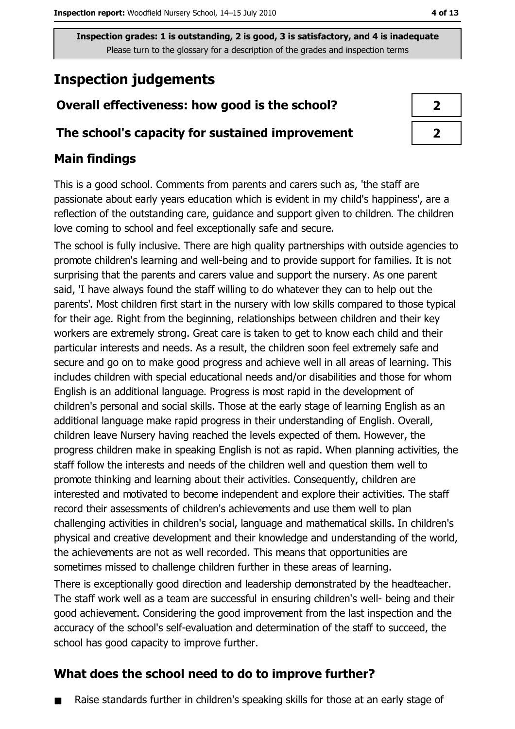Inspection grades: 1 is outstanding, 2 is good, 3 is satisfactory, and 4 is inadequate Please turn to the glossary for a description of the grades and inspection terms

# **Inspection judgements**

## Overall effectiveness: how good is the school?

#### The school's capacity for sustained improvement

### **Main findings**

This is a good school. Comments from parents and carers such as, 'the staff are passionate about early years education which is evident in my child's happiness', are a reflection of the outstanding care, guidance and support given to children. The children love coming to school and feel exceptionally safe and secure.

The school is fully inclusive. There are high quality partnerships with outside agencies to promote children's learning and well-being and to provide support for families. It is not surprising that the parents and carers value and support the nursery. As one parent said, 'I have always found the staff willing to do whatever they can to help out the parents'. Most children first start in the nursery with low skills compared to those typical for their age. Right from the beginning, relationships between children and their key workers are extremely strong. Great care is taken to get to know each child and their particular interests and needs. As a result, the children soon feel extremely safe and secure and go on to make good progress and achieve well in all areas of learning. This includes children with special educational needs and/or disabilities and those for whom English is an additional language. Progress is most rapid in the development of children's personal and social skills. Those at the early stage of learning English as an additional language make rapid progress in their understanding of English. Overall, children leave Nursery having reached the levels expected of them. However, the progress children make in speaking English is not as rapid. When planning activities, the staff follow the interests and needs of the children well and question them well to promote thinking and learning about their activities. Consequently, children are interested and motivated to become independent and explore their activities. The staff record their assessments of children's achievements and use them well to plan challenging activities in children's social, language and mathematical skills. In children's physical and creative development and their knowledge and understanding of the world, the achievements are not as well recorded. This means that opportunities are sometimes missed to challenge children further in these areas of learning.

There is exceptionally good direction and leadership demonstrated by the headteacher. The staff work well as a team are successful in ensuring children's well- being and their good achievement. Considering the good improvement from the last inspection and the accuracy of the school's self-evaluation and determination of the staff to succeed, the school has good capacity to improve further.

## What does the school need to do to improve further?

Raise standards further in children's speaking skills for those at an early stage of  $\blacksquare$ 

| $\mathbf{z}$ |
|--------------|
| ↗            |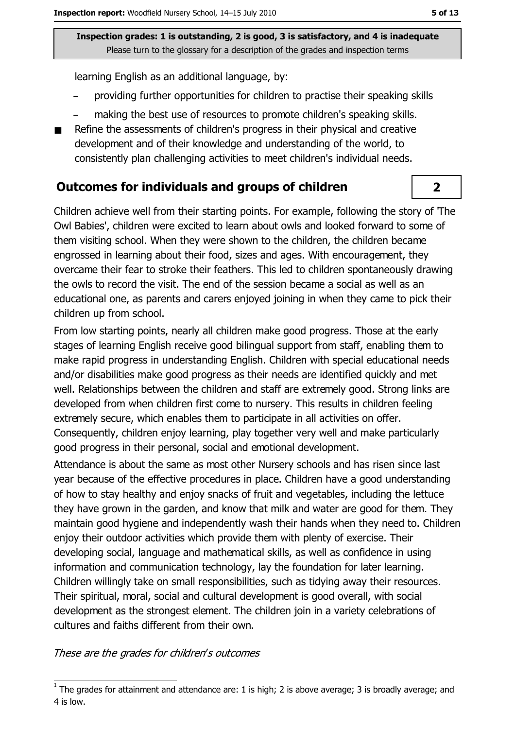Inspection grades: 1 is outstanding, 2 is good, 3 is satisfactory, and 4 is inadequate Please turn to the glossary for a description of the grades and inspection terms

learning English as an additional language, by:

- providing further opportunities for children to practise their speaking skills
- making the best use of resources to promote children's speaking skills.
- Refine the assessments of children's progress in their physical and creative development and of their knowledge and understanding of the world, to consistently plan challenging activities to meet children's individual needs.

#### **Outcomes for individuals and groups of children**

Children achieve well from their starting points. For example, following the story of The Owl Babies', children were excited to learn about owls and looked forward to some of them visiting school. When they were shown to the children, the children became engrossed in learning about their food, sizes and ages. With encouragement, they overcame their fear to stroke their feathers. This led to children spontaneously drawing the owls to record the visit. The end of the session became a social as well as an educational one, as parents and carers enjoyed joining in when they came to pick their children up from school.

From low starting points, nearly all children make good progress. Those at the early stages of learning English receive good bilingual support from staff, enabling them to make rapid progress in understanding English. Children with special educational needs and/or disabilities make good progress as their needs are identified quickly and met well. Relationships between the children and staff are extremely good. Strong links are developed from when children first come to nursery. This results in children feeling extremely secure, which enables them to participate in all activities on offer. Consequently, children enjoy learning, play together very well and make particularly good progress in their personal, social and emotional development.

Attendance is about the same as most other Nursery schools and has risen since last year because of the effective procedures in place. Children have a good understanding of how to stay healthy and enjoy snacks of fruit and vegetables, including the lettuce they have grown in the garden, and know that milk and water are good for them. They maintain good hygiene and independently wash their hands when they need to. Children enjoy their outdoor activities which provide them with plenty of exercise. Their developing social, language and mathematical skills, as well as confidence in using information and communication technology, lay the foundation for later learning. Children willingly take on small responsibilities, such as tidying away their resources. Their spiritual, moral, social and cultural development is good overall, with social development as the strongest element. The children join in a variety celebrations of cultures and faiths different from their own.

These are the grades for children's outcomes

 $\overline{2}$ 

 $1$  The grades for attainment and attendance are: 1 is high; 2 is above average; 3 is broadly average; and 4 is low.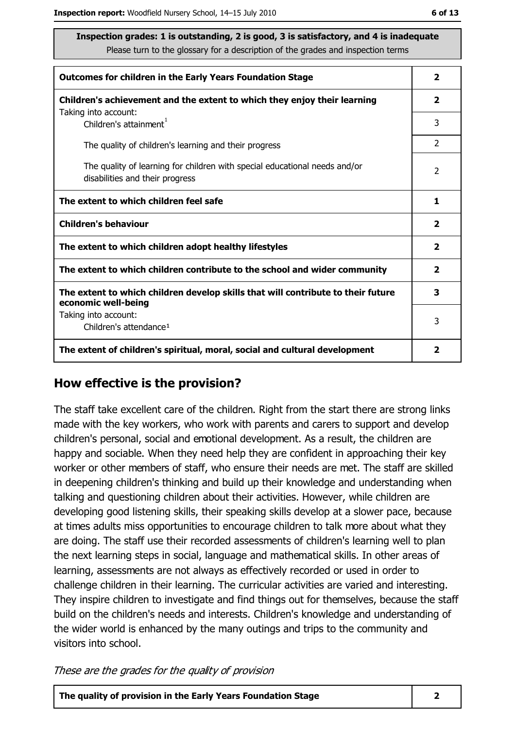ite

| Inspection grades: 1 is outstanding, 2 is good, 3 is satisfactory, and 4 is inadequa |
|--------------------------------------------------------------------------------------|
| Please turn to the glossary for a description of the grades and inspection terms     |

| <b>Outcomes for children in the Early Years Foundation Stage</b>                                              |                |
|---------------------------------------------------------------------------------------------------------------|----------------|
| Children's achievement and the extent to which they enjoy their learning                                      |                |
| Taking into account:<br>Children's attainment <sup>1</sup>                                                    | 3              |
| The quality of children's learning and their progress                                                         | $\overline{2}$ |
| The quality of learning for children with special educational needs and/or<br>disabilities and their progress |                |
| The extent to which children feel safe                                                                        |                |
| <b>Children's behaviour</b>                                                                                   |                |
| The extent to which children adopt healthy lifestyles                                                         | $\overline{2}$ |
| The extent to which children contribute to the school and wider community                                     |                |
| The extent to which children develop skills that will contribute to their future<br>economic well-being       |                |
| Taking into account:<br>Children's attendance <sup>1</sup>                                                    | 3              |
| The extent of children's spiritual, moral, social and cultural development                                    |                |

#### How effective is the provision?

The staff take excellent care of the children. Right from the start there are strong links made with the key workers, who work with parents and carers to support and develop children's personal, social and emotional development. As a result, the children are happy and sociable. When they need help they are confident in approaching their key worker or other members of staff, who ensure their needs are met. The staff are skilled in deepening children's thinking and build up their knowledge and understanding when talking and questioning children about their activities. However, while children are developing good listening skills, their speaking skills develop at a slower pace, because at times adults miss opportunities to encourage children to talk more about what they are doing. The staff use their recorded assessments of children's learning well to plan the next learning steps in social, language and mathematical skills. In other areas of learning, assessments are not always as effectively recorded or used in order to challenge children in their learning. The curricular activities are varied and interesting. They inspire children to investigate and find things out for themselves, because the staff build on the children's needs and interests. Children's knowledge and understanding of the wider world is enhanced by the many outings and trips to the community and visitors into school.

These are the grades for the quality of provision

The quality of provision in the Early Years Foundation Stage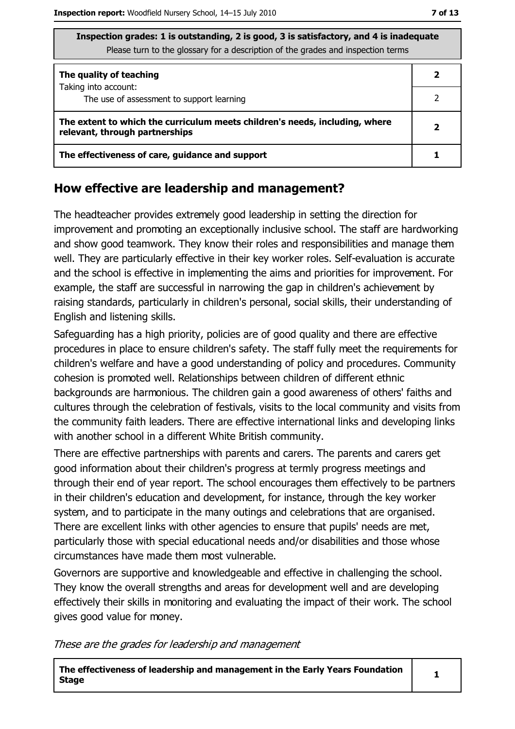| Libercuon graucs. I is outstanding, 2 is good, 3 is satisfactory, and 4 is madequate<br>Please turn to the glossary for a description of the grades and inspection terms |  |  |  |
|--------------------------------------------------------------------------------------------------------------------------------------------------------------------------|--|--|--|
| The quality of teaching                                                                                                                                                  |  |  |  |
| Taking into account:<br>The use of assessment to support learning                                                                                                        |  |  |  |
| The extent to which the curriculum meets children's needs, including, where<br>relevant, through partnerships                                                            |  |  |  |
| The effectiveness of care, guidance and support                                                                                                                          |  |  |  |

 $\overline{4}$  2 is  $\overline{2}$ 

#### How effective are leadership and management?

The headteacher provides extremely good leadership in setting the direction for improvement and promoting an exceptionally inclusive school. The staff are hardworking and show good teamwork. They know their roles and responsibilities and manage them well. They are particularly effective in their key worker roles. Self-evaluation is accurate and the school is effective in implementing the aims and priorities for improvement. For example, the staff are successful in narrowing the gap in children's achievement by raising standards, particularly in children's personal, social skills, their understanding of English and listening skills.

Safeguarding has a high priority, policies are of good quality and there are effective procedures in place to ensure children's safety. The staff fully meet the requirements for children's welfare and have a good understanding of policy and procedures. Community cohesion is promoted well. Relationships between children of different ethnic backgrounds are harmonious. The children gain a good awareness of others' faiths and cultures through the celebration of festivals, visits to the local community and visits from the community faith leaders. There are effective international links and developing links with another school in a different White British community.

There are effective partnerships with parents and carers. The parents and carers get good information about their children's progress at termly progress meetings and through their end of year report. The school encourages them effectively to be partners in their children's education and development, for instance, through the key worker system, and to participate in the many outings and celebrations that are organised. There are excellent links with other agencies to ensure that pupils' needs are met, particularly those with special educational needs and/or disabilities and those whose circumstances have made them most vulnerable.

Governors are supportive and knowledgeable and effective in challenging the school. They know the overall strengths and areas for development well and are developing effectively their skills in monitoring and evaluating the impact of their work. The school gives good value for money.

These are the grades for leadership and management

The effectiveness of leadership and management in the Early Years Foundation **Stage**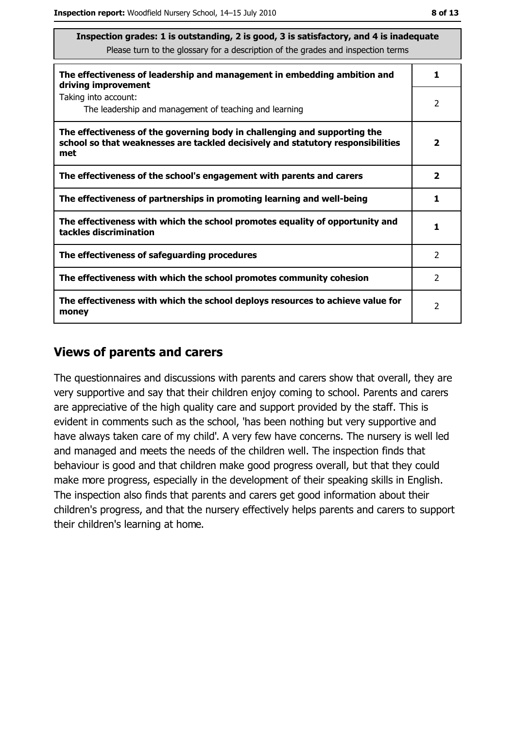| ۰.<br>۰.<br>I | .,<br>۰. |
|---------------|----------|
|---------------|----------|

| Inspection grades: 1 is outstanding, 2 is good, 3 is satisfactory, and 4 is inadequate<br>Please turn to the glossary for a description of the grades and inspection terms |                         |  |
|----------------------------------------------------------------------------------------------------------------------------------------------------------------------------|-------------------------|--|
| The effectiveness of leadership and management in embedding ambition and<br>driving improvement                                                                            | 1                       |  |
| Taking into account:<br>The leadership and management of teaching and learning                                                                                             | 2                       |  |
| The effectiveness of the governing body in challenging and supporting the<br>school so that weaknesses are tackled decisively and statutory responsibilities<br>met        | $\overline{\mathbf{2}}$ |  |
| The effectiveness of the school's engagement with parents and carers                                                                                                       | $\mathbf{2}$            |  |
| The effectiveness of partnerships in promoting learning and well-being                                                                                                     | 1                       |  |
| The effectiveness with which the school promotes equality of opportunity and<br>tackles discrimination                                                                     | 1                       |  |
| The effectiveness of safeguarding procedures                                                                                                                               | 2                       |  |
| The effectiveness with which the school promotes community cohesion                                                                                                        | $\mathcal{P}$           |  |
| The effectiveness with which the school deploys resources to achieve value for<br>money                                                                                    | $\overline{2}$          |  |

#### **Views of parents and carers**

The questionnaires and discussions with parents and carers show that overall, they are very supportive and say that their children enjoy coming to school. Parents and carers are appreciative of the high quality care and support provided by the staff. This is evident in comments such as the school, 'has been nothing but very supportive and have always taken care of my child'. A very few have concerns. The nursery is well led and managed and meets the needs of the children well. The inspection finds that behaviour is good and that children make good progress overall, but that they could make more progress, especially in the development of their speaking skills in English. The inspection also finds that parents and carers get good information about their children's progress, and that the nursery effectively helps parents and carers to support their children's learning at home.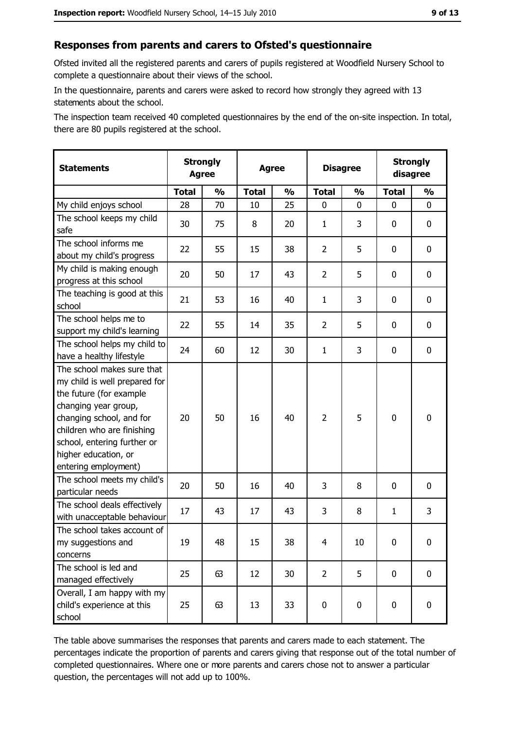## Responses from parents and carers to Ofsted's questionnaire

Ofsted invited all the registered parents and carers of pupils registered at Woodfield Nursery School to complete a questionnaire about their views of the school.

In the questionnaire, parents and carers were asked to record how strongly they agreed with 13 statements about the school.

The inspection team received 40 completed questionnaires by the end of the on-site inspection. In total, there are 80 pupils registered at the school.

| <b>Statements</b>                                                                                                                                                                                                                                       | <b>Strongly</b><br><b>Agree</b> | <b>Strongly</b><br><b>Disagree</b><br><b>Agree</b><br>disagree |              |               |                |               |              |               |
|---------------------------------------------------------------------------------------------------------------------------------------------------------------------------------------------------------------------------------------------------------|---------------------------------|----------------------------------------------------------------|--------------|---------------|----------------|---------------|--------------|---------------|
|                                                                                                                                                                                                                                                         | <b>Total</b>                    | $\frac{1}{2}$                                                  | <b>Total</b> | $\frac{0}{0}$ | <b>Total</b>   | $\frac{0}{0}$ | <b>Total</b> | $\frac{1}{2}$ |
| My child enjoys school                                                                                                                                                                                                                                  | 28                              | 70                                                             | 10           | 25            | $\mathbf 0$    | 0             | 0            | 0             |
| The school keeps my child<br>safe                                                                                                                                                                                                                       | 30                              | 75                                                             | 8            | 20            | 1              | 3             | 0            | 0             |
| The school informs me<br>about my child's progress                                                                                                                                                                                                      | 22                              | 55                                                             | 15           | 38            | $\overline{2}$ | 5             | 0            | 0             |
| My child is making enough<br>progress at this school                                                                                                                                                                                                    | 20                              | 50                                                             | 17           | 43            | $\overline{2}$ | 5             | 0            | 0             |
| The teaching is good at this<br>school                                                                                                                                                                                                                  | 21                              | 53                                                             | 16           | 40            | $\mathbf{1}$   | 3             | 0            | 0             |
| The school helps me to<br>support my child's learning                                                                                                                                                                                                   | 22                              | 55                                                             | 14           | 35            | $\overline{2}$ | 5             | 0            | 0             |
| The school helps my child to<br>have a healthy lifestyle                                                                                                                                                                                                | 24                              | 60                                                             | 12           | 30            | $\mathbf{1}$   | 3             | 0            | 0             |
| The school makes sure that<br>my child is well prepared for<br>the future (for example<br>changing year group,<br>changing school, and for<br>children who are finishing<br>school, entering further or<br>higher education, or<br>entering employment) | 20                              | 50                                                             | 16           | 40            | $\overline{2}$ | 5             | $\mathbf 0$  | 0             |
| The school meets my child's<br>particular needs                                                                                                                                                                                                         | 20                              | 50                                                             | 16           | 40            | 3              | 8             | 0            | 0             |
| The school deals effectively<br>with unacceptable behaviour                                                                                                                                                                                             | 17                              | 43                                                             | 17           | 43            | 3              | 8             | $\mathbf{1}$ | 3             |
| The school takes account of<br>my suggestions and<br>concerns                                                                                                                                                                                           | 19                              | 48                                                             | 15           | 38            | $\overline{4}$ | 10            | 0            | 0             |
| The school is led and<br>managed effectively                                                                                                                                                                                                            | 25                              | 63                                                             | 12           | 30            | $\overline{2}$ | 5             | 0            | $\mathbf 0$   |
| Overall, I am happy with my<br>child's experience at this<br>school                                                                                                                                                                                     | 25                              | 63                                                             | 13           | 33            | $\pmb{0}$      | 0             | $\mathbf 0$  | 0             |

The table above summarises the responses that parents and carers made to each statement. The percentages indicate the proportion of parents and carers giving that response out of the total number of completed questionnaires. Where one or more parents and carers chose not to answer a particular question, the percentages will not add up to 100%.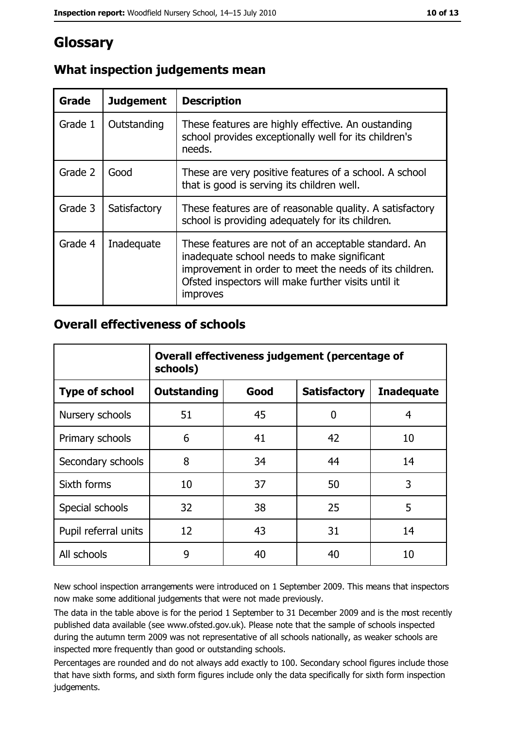# Glossary

| Grade   | <b>Judgement</b> | <b>Description</b>                                                                                                                                                                                                                |
|---------|------------------|-----------------------------------------------------------------------------------------------------------------------------------------------------------------------------------------------------------------------------------|
| Grade 1 | Outstanding      | These features are highly effective. An oustanding<br>school provides exceptionally well for its children's<br>needs.                                                                                                             |
| Grade 2 | Good             | These are very positive features of a school. A school<br>that is good is serving its children well.                                                                                                                              |
| Grade 3 | Satisfactory     | These features are of reasonable quality. A satisfactory<br>school is providing adequately for its children.                                                                                                                      |
| Grade 4 | Inadequate       | These features are not of an acceptable standard. An<br>inadequate school needs to make significant<br>improvement in order to meet the needs of its children.<br>Ofsted inspectors will make further visits until it<br>improves |

## What inspection judgements mean

#### **Overall effectiveness of schools**

|                       | Overall effectiveness judgement (percentage of<br>schools) |      |                     |                   |  |
|-----------------------|------------------------------------------------------------|------|---------------------|-------------------|--|
| <b>Type of school</b> | <b>Outstanding</b>                                         | Good | <b>Satisfactory</b> | <b>Inadequate</b> |  |
| Nursery schools       | 51                                                         | 45   | 0                   | 4                 |  |
| Primary schools       | 6                                                          | 41   | 42                  | 10                |  |
| Secondary schools     | 8                                                          | 34   | 44                  | 14                |  |
| Sixth forms           | 10                                                         | 37   | 50                  | 3                 |  |
| Special schools       | 32                                                         | 38   | 25                  | 5                 |  |
| Pupil referral units  | 12                                                         | 43   | 31                  | 14                |  |
| All schools           | 9                                                          | 40   | 40                  | 10                |  |

New school inspection arrangements were introduced on 1 September 2009. This means that inspectors now make some additional judgements that were not made previously.

The data in the table above is for the period 1 September to 31 December 2009 and is the most recently published data available (see www.ofsted.gov.uk). Please note that the sample of schools inspected during the autumn term 2009 was not representative of all schools nationally, as weaker schools are inspected more frequently than good or outstanding schools.

Percentages are rounded and do not always add exactly to 100. Secondary school figures include those that have sixth forms, and sixth form figures include only the data specifically for sixth form inspection judgements.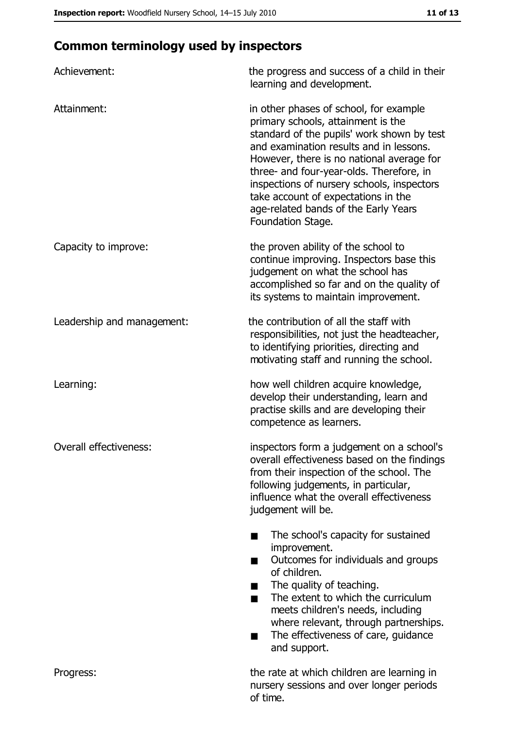# **Common terminology used by inspectors**

| Achievement:               | the progress and success of a child in their<br>learning and development.                                                                                                                                                                                                                                                                                                                                        |
|----------------------------|------------------------------------------------------------------------------------------------------------------------------------------------------------------------------------------------------------------------------------------------------------------------------------------------------------------------------------------------------------------------------------------------------------------|
| Attainment:                | in other phases of school, for example<br>primary schools, attainment is the<br>standard of the pupils' work shown by test<br>and examination results and in lessons.<br>However, there is no national average for<br>three- and four-year-olds. Therefore, in<br>inspections of nursery schools, inspectors<br>take account of expectations in the<br>age-related bands of the Early Years<br>Foundation Stage. |
| Capacity to improve:       | the proven ability of the school to<br>continue improving. Inspectors base this<br>judgement on what the school has<br>accomplished so far and on the quality of<br>its systems to maintain improvement.                                                                                                                                                                                                         |
| Leadership and management: | the contribution of all the staff with<br>responsibilities, not just the headteacher,<br>to identifying priorities, directing and<br>motivating staff and running the school.                                                                                                                                                                                                                                    |
| Learning:                  | how well children acquire knowledge,<br>develop their understanding, learn and<br>practise skills and are developing their<br>competence as learners.                                                                                                                                                                                                                                                            |
| Overall effectiveness:     | inspectors form a judgement on a school's<br>overall effectiveness based on the findings<br>from their inspection of the school. The<br>following judgements, in particular,<br>influence what the overall effectiveness<br>judgement will be.                                                                                                                                                                   |
|                            | The school's capacity for sustained<br>improvement.<br>Outcomes for individuals and groups<br>of children.<br>The quality of teaching.<br>The extent to which the curriculum<br>meets children's needs, including<br>where relevant, through partnerships.<br>The effectiveness of care, guidance<br>and support.                                                                                                |
| Progress:                  | the rate at which children are learning in<br>nursery sessions and over longer periods<br>of time.                                                                                                                                                                                                                                                                                                               |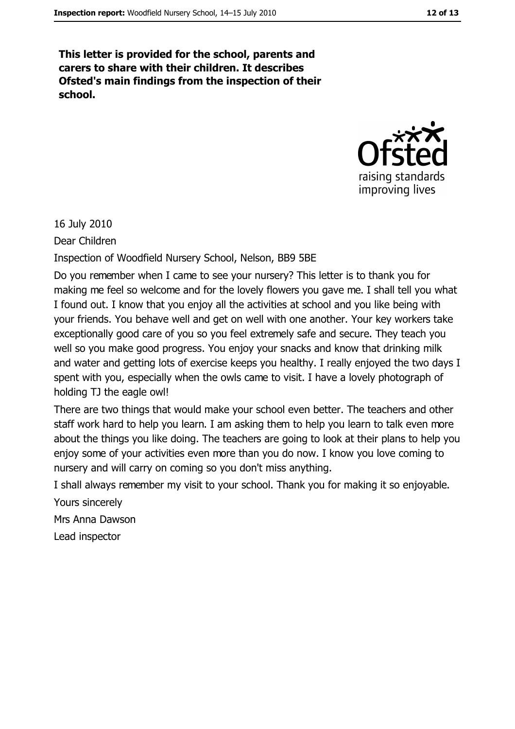This letter is provided for the school, parents and carers to share with their children. It describes Ofsted's main findings from the inspection of their school.



16 July 2010

Dear Children

Inspection of Woodfield Nursery School, Nelson, BB9 5BE

Do you remember when I came to see your nursery? This letter is to thank you for making me feel so welcome and for the lovely flowers you gave me. I shall tell you what I found out. I know that you enjoy all the activities at school and you like being with your friends. You behave well and get on well with one another. Your key workers take exceptionally good care of you so you feel extremely safe and secure. They teach you well so you make good progress. You enjoy your snacks and know that drinking milk and water and getting lots of exercise keeps you healthy. I really enjoyed the two days I spent with you, especially when the owls came to visit. I have a lovely photograph of holding TJ the eagle owl!

There are two things that would make your school even better. The teachers and other staff work hard to help you learn. I am asking them to help you learn to talk even more about the things you like doing. The teachers are going to look at their plans to help you enjoy some of your activities even more than you do now. I know you love coming to nursery and will carry on coming so you don't miss anything.

I shall always remember my visit to your school. Thank you for making it so enjoyable. Yours sincerely

Mrs Anna Dawson

Lead inspector